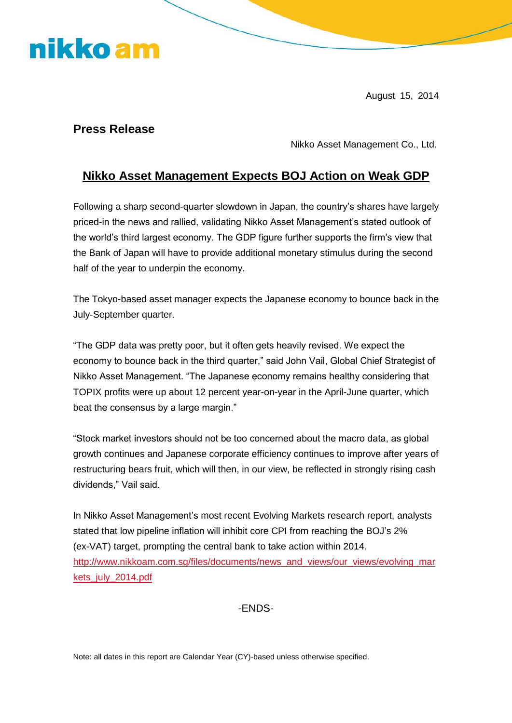## nikko am

August 15, 2014

## **Press Release**

Nikko Asset Management Co., Ltd.

## **Nikko Asset Management Expects BOJ Action on Weak GDP**

Following a sharp second-quarter slowdown in Japan, the country's shares have largely priced-in the news and rallied, validating Nikko Asset Management's stated outlook of the world's third largest economy. The GDP figure further supports the firm's view that the Bank of Japan will have to provide additional monetary stimulus during the second half of the year to underpin the economy.

The Tokyo-based asset manager expects the Japanese economy to bounce back in the July-September quarter.

"The GDP data was pretty poor, but it often gets heavily revised. We expect the economy to bounce back in the third quarter," said John Vail, Global Chief Strategist of Nikko Asset Management. "The Japanese economy remains healthy considering that TOPIX profits were up about 12 percent year-on-year in the April-June quarter, which beat the consensus by a large margin."

"Stock market investors should not be too concerned about the macro data, as global growth continues and Japanese corporate efficiency continues to improve after years of restructuring bears fruit, which will then, in our view, be reflected in strongly rising cash dividends," Vail said.

In Nikko Asset Management's most recent Evolving Markets research report, analysts stated that low pipeline inflation will inhibit core CPI from reaching the BOJ's 2% (ex-VAT) target, prompting the central bank to take action within 2014. [http://www.nikkoam.com.sg/files/documents/news\\_and\\_views/our\\_views/evolving\\_mar](http://www.nikkoam.com.sg/files/documents/news_and_views/our_views/evolving_markets_july_2014.pdf) [kets\\_july\\_2014.pdf](http://www.nikkoam.com.sg/files/documents/news_and_views/our_views/evolving_markets_july_2014.pdf)

-ENDS-